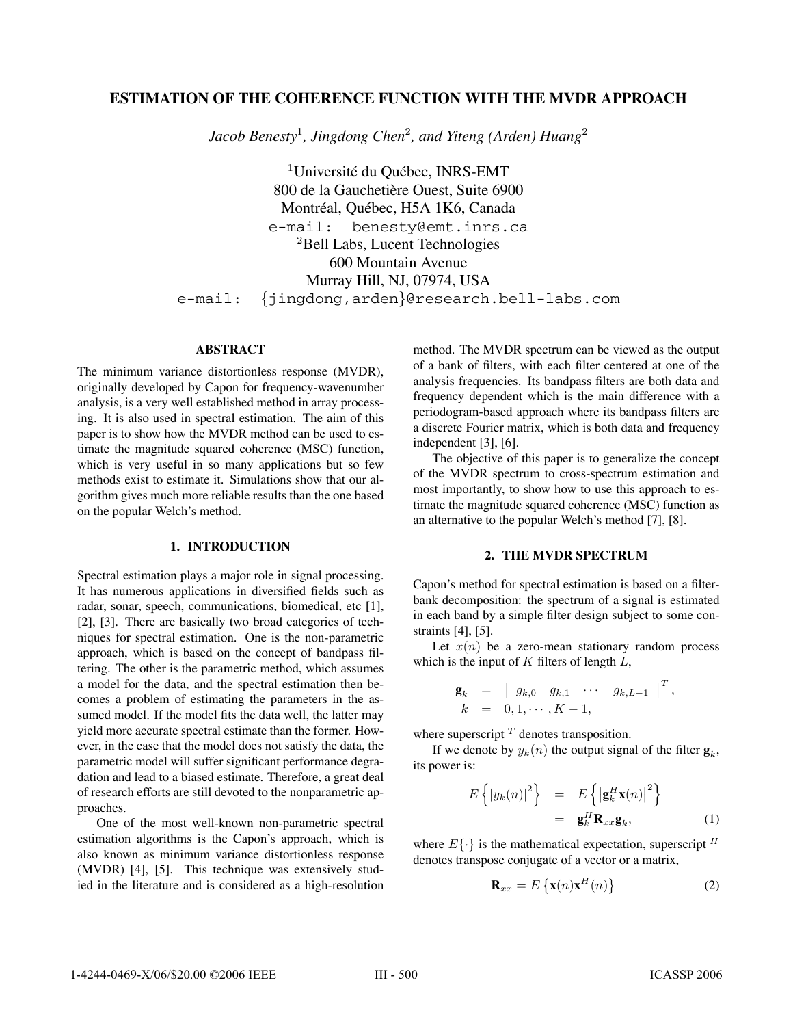# **ESTIMATION OF THE COHERENCE FUNCTION WITH THE MVDR APPROACH**

*Jacob Benesty*<sup>1</sup>*, Jingdong Chen*<sup>2</sup>*, and Yiteng (Arden) Huang*<sup>2</sup>

 $1$ Université du Québec, INRS-EMT 800 de la Gauchetière Ouest, Suite 6900 Montréal, Québec, H5A 1K6, Canada e-mail: benesty@emt.inrs.ca <sup>2</sup>Bell Labs, Lucent Technologies 600 Mountain Avenue Murray Hill, NJ, 07974, USA e-mail: {jingdong,arden}@research.bell-labs.com

### **ABSTRACT**

The minimum variance distortionless response (MVDR), originally developed by Capon for frequency-wavenumber analysis, is a very well established method in array processing. It is also used in spectral estimation. The aim of this paper is to show how the MVDR method can be used to estimate the magnitude squared coherence (MSC) function, which is very useful in so many applications but so few methods exist to estimate it. Simulations show that our algorithm gives much more reliable results than the one based on the popular Welch's method.

#### **1. INTRODUCTION**

Spectral estimation plays a major role in signal processing. It has numerous applications in diversified fields such as radar, sonar, speech, communications, biomedical, etc [1], [2], [3]. There are basically two broad categories of techniques for spectral estimation. One is the non-parametric approach, which is based on the concept of bandpass filtering. The other is the parametric method, which assumes a model for the data, and the spectral estimation then becomes a problem of estimating the parameters in the assumed model. If the model fits the data well, the latter may yield more accurate spectral estimate than the former. However, in the case that the model does not satisfy the data, the parametric model will suffer significant performance degradation and lead to a biased estimate. Therefore, a great deal of research efforts are still devoted to the nonparametric approaches.

One of the most well-known non-parametric spectral estimation algorithms is the Capon's approach, which is also known as minimum variance distortionless response (MVDR) [4], [5]. This technique was extensively studied in the literature and is considered as a high-resolution method. The MVDR spectrum can be viewed as the output of a bank of filters, with each filter centered at one of the analysis frequencies. Its bandpass filters are both data and frequency dependent which is the main difference with a periodogram-based approach where its bandpass filters are a discrete Fourier matrix, which is both data and frequency independent [3], [6].

The objective of this paper is to generalize the concept of the MVDR spectrum to cross-spectrum estimation and most importantly, to show how to use this approach to estimate the magnitude squared coherence (MSC) function as an alternative to the popular Welch's method [7], [8].

## **2. THE MVDR SPECTRUM**

Capon's method for spectral estimation is based on a filterbank decomposition: the spectrum of a signal is estimated in each band by a simple filter design subject to some constraints [4], [5].

Let  $x(n)$  be a zero-mean stationary random process which is the input of  $K$  filters of length  $L$ ,

$$
\begin{array}{rcl}\n\mathbf{g}_k & = & \left[ \begin{array}{cccc} g_{k,0} & g_{k,1} & \cdots & g_{k,L-1} \end{array} \right]^T, \\
k & = & 0, 1, \cdots, K-1,\n\end{array}
$$

where superscript  $<sup>T</sup>$  denotes transposition.</sup>

If we denote by  $y_k(n)$  the output signal of the filter  $\mathbf{g}_k$ , its power is:

$$
E\left\{|y_k(n)|^2\right\} = E\left\{\left|\mathbf{g}_k^H\mathbf{x}(n)\right|^2\right\}
$$
  
=  $\mathbf{g}_k^H\mathbf{R}_{xx}\mathbf{g}_k,$  (1)

where  $E\{\cdot\}$  is the mathematical expectation, superscript  $^H$ denotes transpose conjugate of a vector or a matrix,

$$
\mathbf{R}_{xx} = E\left\{ \mathbf{x}(n)\mathbf{x}^{H}(n) \right\}
$$
 (2)

 $\overline{f}$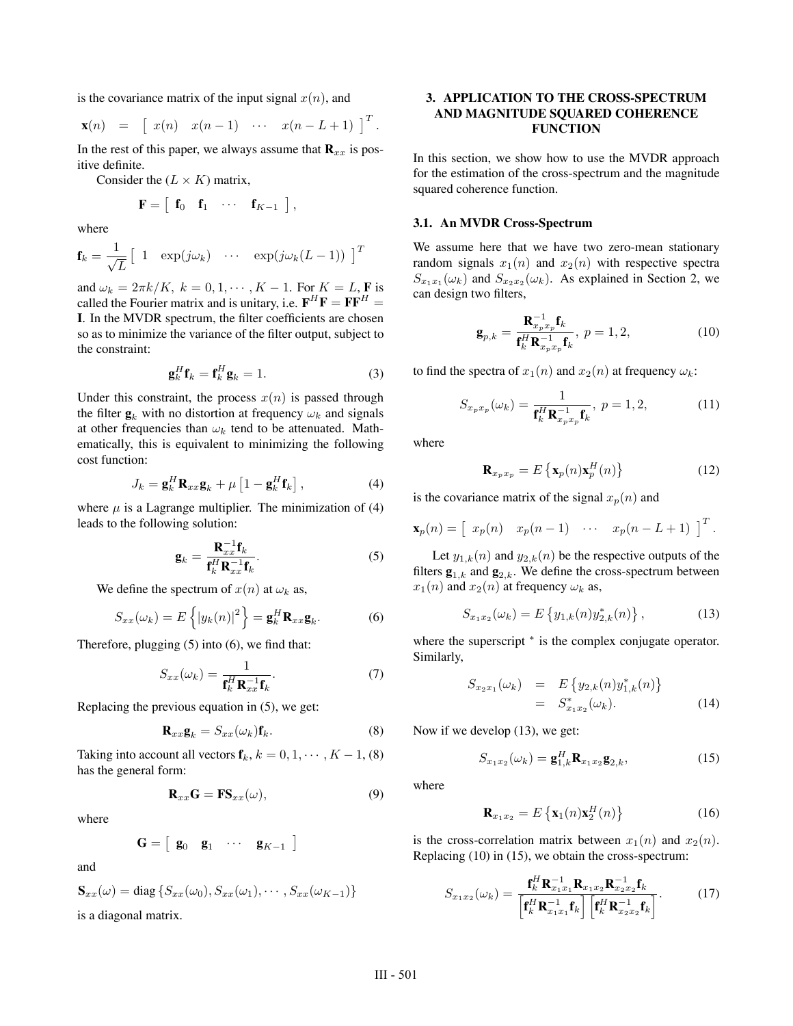is the covariance matrix of the input signal  $x(n)$ , and

$$
\mathbf{x}(n) = \begin{bmatrix} x(n) & x(n-1) & \cdots & x(n-L+1) \end{bmatrix}^T.
$$

In the rest of this paper, we always assume that  $\mathbf{R}_{xx}$  is positive definite.

Consider the  $(L \times K)$  matrix,

$$
\mathbf{F} = \begin{bmatrix} \mathbf{f}_0 & \mathbf{f}_1 & \cdots & \mathbf{f}_{K-1} \end{bmatrix},
$$

where

$$
\mathbf{f}_k = \frac{1}{\sqrt{L}} \begin{bmatrix} 1 & \exp(j\omega_k) & \cdots & \exp(j\omega_k(L-1)) \end{bmatrix}^T
$$

and  $\omega_k = 2\pi k/K$ ,  $k = 0, 1, \dots, K - 1$ . For  $K = L$ , **F** is called the Fourier matrix and is unitary i.e.  $\mathbf{F}^H \mathbf{F} - \mathbf{F} \mathbf{F}^H$ . called the Fourier matrix and is unitary, i.e.  $\mathbf{F}^H\mathbf{F} = \mathbf{F}\mathbf{F}^H =$ **I**. In the MVDR spectrum, the filter coefficients are chosen so as to minimize the variance of the filter output, subject to the constraint:

$$
\mathbf{g}_k^H \mathbf{f}_k = \mathbf{f}_k^H \mathbf{g}_k = 1.
$$
 (3)

Under this constraint, the process  $x(n)$  is passed through the filter  $\mathbf{g}_k$  with no distortion at frequency  $\omega_k$  and signals at other frequencies than  $\omega_k$  tend to be attenuated. Mathematically, this is equivalent to minimizing the following cost function:

$$
J_k = \mathbf{g}_k^H \mathbf{R}_{xx} \mathbf{g}_k + \mu \left[ 1 - \mathbf{g}_k^H \mathbf{f}_k \right],
$$
 (4)

where  $\mu$  is a Lagrange multiplier. The minimization of (4) leads to the following solution:

$$
\mathbf{g}_k = \frac{\mathbf{R}_{xx}^{-1} \mathbf{f}_k}{\mathbf{f}_k^H \mathbf{R}_{xx}^{-1} \mathbf{f}_k}.
$$
 (5)

We define the spectrum of  $x(n)$  at  $\omega_k$  as,

$$
S_{xx}(\omega_k) = E\left\{ |y_k(n)|^2 \right\} = \mathbf{g}_k^H \mathbf{R}_{xx} \mathbf{g}_k. \tag{6}
$$

Therefore, plugging (5) into (6), we find that:

$$
S_{xx}(\omega_k) = \frac{1}{\mathbf{f}_k^H \mathbf{R}_{xx}^{-1} \mathbf{f}_k}.
$$
 (7)

Replacing the previous equation in (5), we get:

$$
\mathbf{R}_{xx}\mathbf{g}_k = S_{xx}(\omega_k)\mathbf{f}_k. \tag{8}
$$

Taking into account all vectors  $f_k$ ,  $k = 0, 1, \dots, K - 1$ , (8) has the general form:

$$
\mathbf{R}_{xx}\mathbf{G} = \mathbf{F}\mathbf{S}_{xx}(\omega),\tag{9}
$$

where

$$
\mathbf{G} = \left[ \begin{array}{cccc} \mathbf{g}_0 & \mathbf{g}_1 & \cdots & \mathbf{g}_{K-1} \end{array} \right]
$$

and

$$
\mathbf{S}_{xx}(\omega) = \text{diag}\{S_{xx}(\omega_0), S_{xx}(\omega_1), \cdots, S_{xx}(\omega_{K-1})\}
$$
  
is a diagonal matrix.

## **3. APPLICATION TO THE CROSS-SPECTRUM AND MAGNITUDE SQUARED COHERENCE FUNCTION**

In this section, we show how to use the MVDR approach for the estimation of the cross-spectrum and the magnitude squared coherence function.

#### **3.1. An MVDR Cross-Spectrum**

We assume here that we have two zero-mean stationary random signals  $x_1(n)$  and  $x_2(n)$  with respective spectra  $S_{x_1x_1}(\omega_k)$  and  $S_{x_2x_2}(\omega_k)$ . As explained in Section 2, we can design two filters,

$$
\mathbf{g}_{p,k} = \frac{\mathbf{R}_{x_p}^{-1} \mathbf{f}_k}{\mathbf{f}_k^H \mathbf{R}_{x_p x_p}^{-1} \mathbf{f}_k}, \ p = 1, 2,
$$
 (10)

to find the spectra of  $x_1(n)$  and  $x_2(n)$  at frequency  $\omega_k$ :

$$
S_{x_p x_p}(\omega_k) = \frac{1}{\mathbf{f}_k^H \mathbf{R}_{x_p x_p}^{-1} \mathbf{f}_k}, \ p = 1, 2,
$$
 (11)

where

$$
\mathbf{R}_{x_p x_p} = E\left\{ \mathbf{x}_p(n) \mathbf{x}_p^H(n) \right\} \tag{12}
$$

is the covariance matrix of the signal  $x_p(n)$  and

$$
\mathbf{x}_p(n) = \begin{bmatrix} x_p(n) & x_p(n-1) & \cdots & x_p(n-L+1) \end{bmatrix}^T.
$$

Let  $y_{1,k}(n)$  and  $y_{2,k}(n)$  be the respective outputs of the filters  $\mathbf{g}_{1,k}$  and  $\mathbf{g}_{2,k}$ . We define the cross-spectrum between  $x_1(n)$  and  $x_2(n)$  at frequency  $\omega_k$  as,

$$
S_{x_1x_2}(\omega_k) = E\left\{y_{1,k}(n)y_{2,k}^*(n)\right\},\tag{13}
$$

where the superscript  $*$  is the complex conjugate operator. Similarly,

$$
S_{x_2x_1}(\omega_k) = E\{y_{2,k}(n)y_{1,k}^*(n)\}
$$
  
=  $S_{x_1x_2}^*(\omega_k)$ . (14)

Now if we develop (13), we get:

$$
S_{x_1x_2}(\omega_k) = \mathbf{g}_{1,k}^H \mathbf{R}_{x_1x_2} \mathbf{g}_{2,k},
$$
\n(15)

where

$$
\mathbf{R}_{x_1x_2} = E\left\{ \mathbf{x}_1(n)\mathbf{x}_2^H(n) \right\} \tag{16}
$$

is the cross-correlation matrix between  $x_1(n)$  and  $x_2(n)$ . Replacing (10) in (15), we obtain the cross-spectrum:

$$
S_{x_1x_2}(\omega_k) = \frac{\mathbf{f}_k^H \mathbf{R}_{x_1x_1}^{-1} \mathbf{R}_{x_1x_2} \mathbf{R}_{x_2x_2}^{-1} \mathbf{f}_k}{\left[\mathbf{f}_k^H \mathbf{R}_{x_1x_1}^{-1} \mathbf{f}_k\right] \left[\mathbf{f}_k^H \mathbf{R}_{x_2x_2}^{-1} \mathbf{f}_k\right]}.
$$
 (17)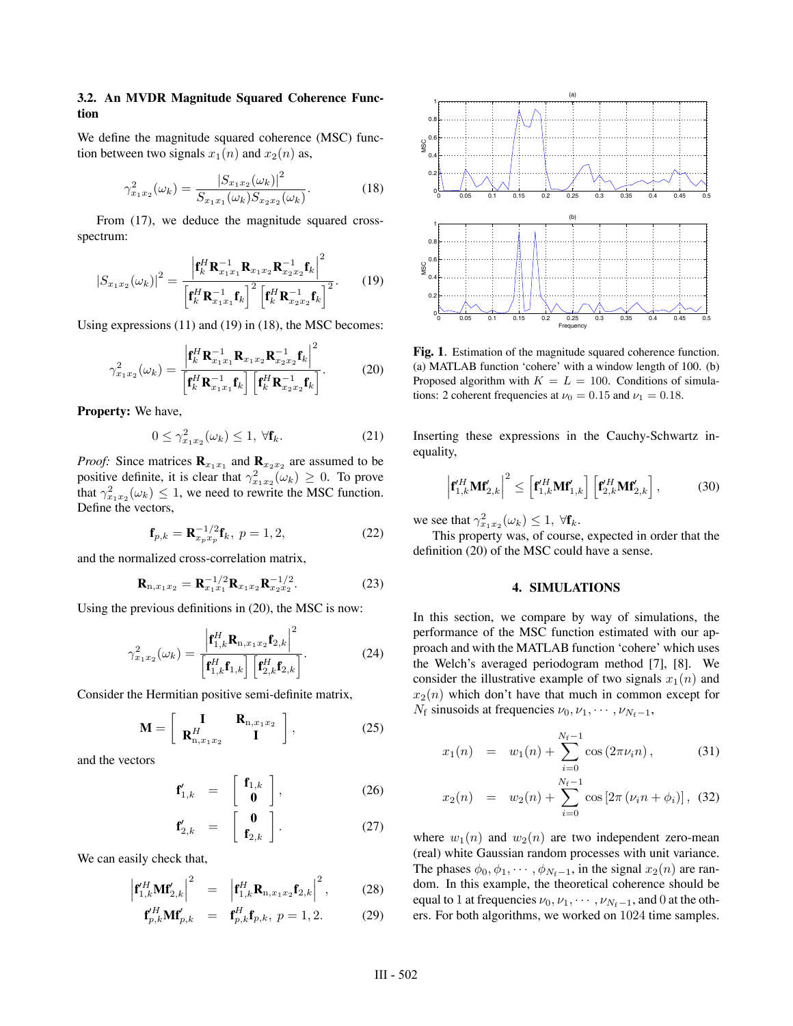## **3.2. An MVDR Magnitude Squared Coherence Function**

We define the magnitude squared coherence (MSC) function between two signals  $x_1(n)$  and  $x_2(n)$  as,

$$
\gamma_{x_1x_2}^2(\omega_k) = \frac{|S_{x_1x_2}(\omega_k)|^2}{S_{x_1x_1}(\omega_k)S_{x_2x_2}(\omega_k)}.
$$
\n(18)

From (17), we deduce the magnitude squared crossspectrum:

$$
|S_{x_1x_2}(\omega_k)|^2 = \frac{\left| \mathbf{f}_k^H \mathbf{R}_{x_1x_1}^{-1} \mathbf{R}_{x_1x_2} \mathbf{R}_{x_2x_2}^{-1} \mathbf{f}_k \right|^2}{\left[ \mathbf{f}_k^H \mathbf{R}_{x_1x_1}^{-1} \mathbf{f}_k \right]^2 \left[ \mathbf{f}_k^H \mathbf{R}_{x_2x_2}^{-1} \mathbf{f}_k \right]^2}.
$$
 (19)

Using expressions (11) and (19) in (18), the MSC becomes:

$$
\gamma_{x_1x_2}^2(\omega_k) = \frac{\left| \mathbf{f}_k^H \mathbf{R}_{x_1x_1}^{-1} \mathbf{R}_{x_1x_2} \mathbf{R}_{x_2x_2}^{-1} \mathbf{f}_k \right|^2}{\left[ \mathbf{f}_k^H \mathbf{R}_{x_1x_1}^{-1} \mathbf{f}_k \right] \left[ \mathbf{f}_k^H \mathbf{R}_{x_2x_2}^{-1} \mathbf{f}_k \right]}.
$$
(20)

**Property:** We have,

$$
0 \le \gamma_{x_1 x_2}^2(\omega_k) \le 1, \ \forall \mathbf{f}_k. \tag{21}
$$

*Proof:* Since matrices  $\mathbf{R}_{x_1x_1}$  and  $\mathbf{R}_{x_2x_2}$  are assumed to be positive definite, it is clear that  $\gamma_{x_1x_2}^2(\omega_k) \geq 0$ . To prove<br>that  $\gamma^2(\omega_k) \leq 1$  we need to rewrite the MSC function that  $\gamma_{x_1x_2}^2(\omega_k) \leq 1$ , we need to rewrite the MSC function.<br>Define the vectors Define the vectors,

$$
\mathbf{f}_{p,k} = \mathbf{R}_{x_p x_p}^{-1/2} \mathbf{f}_k, \ p = 1, 2,
$$
 (22)

and the normalized cross-correlation matrix,

$$
\mathbf{R}_{n,x_1x_2} = \mathbf{R}_{x_1x_1}^{-1/2} \mathbf{R}_{x_1x_2} \mathbf{R}_{x_2x_2}^{-1/2}.
$$
 (23)

Using the previous definitions in (20), the MSC is now:

$$
\gamma_{x_1x_2}^2(\omega_k) = \frac{\left|\mathbf{f}_{1,k}^H \mathbf{R}_{n,x_1x_2} \mathbf{f}_{2,k}\right|^2}{\left[\mathbf{f}_{1,k}^H \mathbf{f}_{1,k}\right] \left[\mathbf{f}_{2,k}^H \mathbf{f}_{2,k}\right]}.
$$
(24)

Consider the Hermitian positive semi-definite matrix,

$$
\mathbf{M} = \left[ \begin{array}{cc} \mathbf{I} & \mathbf{R}_{n,x_1x_2} \\ \mathbf{R}_{n,x_1x_2}^H & \mathbf{I} \end{array} \right],
$$
 (25)

and the vectors

$$
\mathbf{f}_{1,k}^{\prime} = \begin{bmatrix} \mathbf{f}_{1,k} \\ \mathbf{0} \end{bmatrix}, \qquad (26)
$$

$$
\mathbf{f}'_{2,k} = \begin{bmatrix} \mathbf{0} \\ \mathbf{f}_{2,k} \end{bmatrix} . \tag{27}
$$

We can easily check that,

$$
\left|\mathbf{f}_{1,k}^H \mathbf{M} \mathbf{f}_{2,k}^{\prime}\right|^2 = \left|\mathbf{f}_{1,k}^H \mathbf{R}_{n,x_1x_2} \mathbf{f}_{2,k}\right|^2, \quad (28)
$$

$$
\mathbf{f}_{p,k}^H \mathbf{M} \mathbf{f}_{p,k}^{\prime} = \mathbf{f}_{p,k}^H \mathbf{f}_{p,k}, \ p = 1, 2. \tag{29}
$$



**Fig. 1**. Estimation of the magnitude squared coherence function. (a) MATLAB function 'cohere' with a window length of 100. (b) Proposed algorithm with  $K = L = 100$ . Conditions of simulations: 2 coherent frequencies at  $\nu_0 = 0.15$  and  $\nu_1 = 0.18$ .

Inserting these expressions in the Cauchy-Schwartz inequality,

$$
\left|\mathbf{f}_{1,k}^{\prime H}\mathbf{M}\mathbf{f}_{2,k}^{\prime}\right|^{2} \leq \left[\mathbf{f}_{1,k}^{\prime H}\mathbf{M}\mathbf{f}_{1,k}^{\prime}\right]\left[\mathbf{f}_{2,k}^{\prime H}\mathbf{M}\mathbf{f}_{2,k}^{\prime}\right],\tag{30}
$$

we see that  $\gamma_{x_1x_2}^2(\omega_k) \leq 1$ ,  $\forall \mathbf{f}_k$ .<br>This property was of course

This property was, of course, expected in order that the definition (20) of the MSC could have a sense.

## **4. SIMULATIONS**

In this section, we compare by way of simulations, the performance of the MSC function estimated with our approach and with the MATLAB function 'cohere' which uses the Welch's averaged periodogram method [7], [8]. We consider the illustrative example of two signals  $x_1(n)$  and  $x_2(n)$  which don't have that much in common except for  $N_f$  sinusoids at frequencies  $\nu_0, \nu_1, \cdots, \nu_{N_f-1}$ ,

$$
x_1(n) = w_1(n) + \sum_{i=0}^{N_f - 1} \cos(2\pi \nu_i n), \qquad (31)
$$

$$
x_2(n) = w_2(n) + \sum_{i=0}^{N_f - 1} \cos [2\pi (\nu_i n + \phi_i)], \quad (32)
$$

where  $w_1(n)$  and  $w_2(n)$  are two independent zero-mean (real) white Gaussian random processes with unit variance. The phases  $\phi_0, \phi_1, \cdots, \phi_{N_f-1}$ , in the signal  $x_2(n)$  are random. In this example, the theoretical coherence should be equal to 1 at frequencies  $\nu_0, \nu_1, \cdots, \nu_{N_f-1}$ , and 0 at the others. For both algorithms, we worked on 1024 time samples.